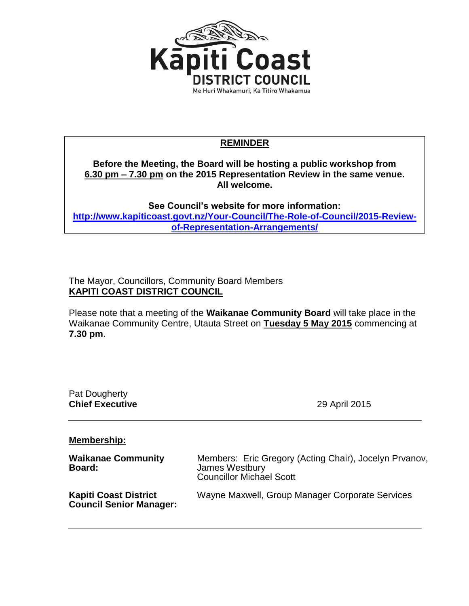

## **REMINDER**

**Before the Meeting, the Board will be hosting a public workshop from 6.30 pm – 7.30 pm on the 2015 Representation Review in the same venue. All welcome.**

**See Council's website for more information: [http://www.kapiticoast.govt.nz/Your-Council/The-Role-of-Council/2015-Review](http://www.kapiticoast.govt.nz/Your-Council/The-Role-of-Council/2015-Review-of-Representation-Arrangements/)[of-Representation-Arrangements/](http://www.kapiticoast.govt.nz/Your-Council/The-Role-of-Council/2015-Review-of-Representation-Arrangements/)**

The Mayor, Councillors, Community Board Members **KAPITI COAST DISTRICT COUNCIL**

Please note that a meeting of the **Waikanae Community Board** will take place in the Waikanae Community Centre, Utauta Street on **Tuesday 5 May 2015** commencing at **7.30 pm**.

| Pat Dougherty<br><b>Chief Executive</b>                        | 29 April 2015                                                                                               |  |
|----------------------------------------------------------------|-------------------------------------------------------------------------------------------------------------|--|
| <b>Membership:</b>                                             |                                                                                                             |  |
| <b>Waikanae Community</b><br>Board:                            | Members: Eric Gregory (Acting Chair), Jocelyn Prvanov,<br>James Westbury<br><b>Councillor Michael Scott</b> |  |
| <b>Kapiti Coast District</b><br><b>Council Senior Manager:</b> | Wayne Maxwell, Group Manager Corporate Services                                                             |  |